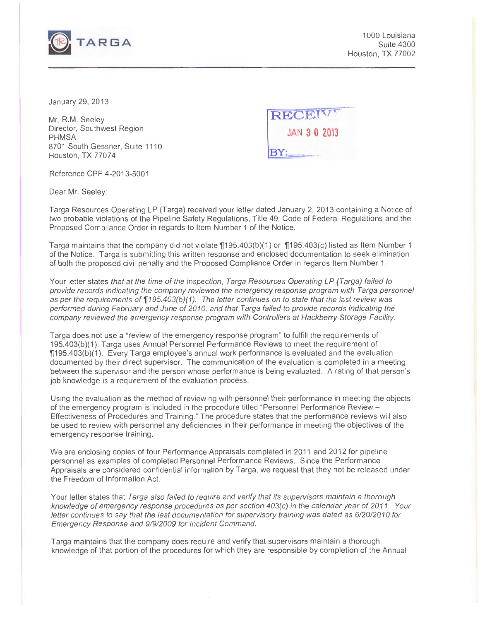

1 000 Louisiana Suite 4300 Houston, TX 77002

January 29, 2013

Mr. R.M. Seeley Director, Southwest Region PHMSA 8701 South Gessner, Suite 1110 Houston, TX 77074



Reference CPF 4-2013-5001

Dear Mr. Seeley:

Targa Resources Operating LP (Targa) received your letter dated January 2, 2013 containing a Notice of two probable violations of the Pipeline Safety Regulations, Title 49, Code of Federal Regulations and the Proposed Compliance Order in regards to Item Number 1 of the Notice.

Targa maintains that the company did not violate  $\P$ 195.403(b)(1) or  $\P$ 195.403(c) listed as Item Number 1 of the Notice. Targa is submitting this written response and enclosed documentation to seek elimination of both the proposed civil penalty and the Proposed Compliance Order in regards Item Number 1.

Your letter states that at the time of the inspection, Targa Resources Operating LP (Targa) failed to provide records indicating the company reviewed the emergency response program with Targa personnel as per the requirements of  $\Pi$ 195.403(b)(1). The letter continues on to state that the last review was performed during February and June of 2010, and that Targa failed to provide records indicating the company reviewed the emergency response program with Controllers at Hackberry Storage Facility.

Targa does not use a "review of the emergency response program" to fulfill the requirements of 195.403(b)(1). Targa uses Annual Personnel Performance Reviews to meet the requirement of 1J195.403(b)(1 ). Every Targa employee's annual work performance is evaluated and the evaluation documented by their direct supervisor. The communication of the evaluation is completed in a meeting between the supervisor and the person whose performance is being evaluated. A rating of that person's job knowledge is a requirement of the evaluation process.

Using the evaluation as the method of reviewing with personnel their performance in meeting the objects of the emergency program is included in the procedure titled "Personnel Performance Review - Effectiveness of Procedures and Training." The procedure states that the performance reviews will also be used to review with personnel any deficiencies in their performance in meeting the objectives of the emergency response training.

We are enclosing copies of four Performance Appraisals completed in 2011 and 2012 for pipeline personnel as examples of completed Personnel Performance Reviews. Since the Performance Appraisals are considered confidential information by Targa, we request that they not be released under the Freedom of Information Act.

Your letter states that Targa also failed to require and verify that its supervisors maintain a thorough knowledge of emergency response procedures as per section 403(c) in the calendar year of 2011. Your letter continues to say that the last documentation for supervisory training was dated as 6/20/2010 for Emergency Response and 919/2009 for Incident Command.

Targa maintains that the company does require and verify that supervisors maintain a thorough knowledge of that portion of the procedures for which they are responsible by completion of the Annual